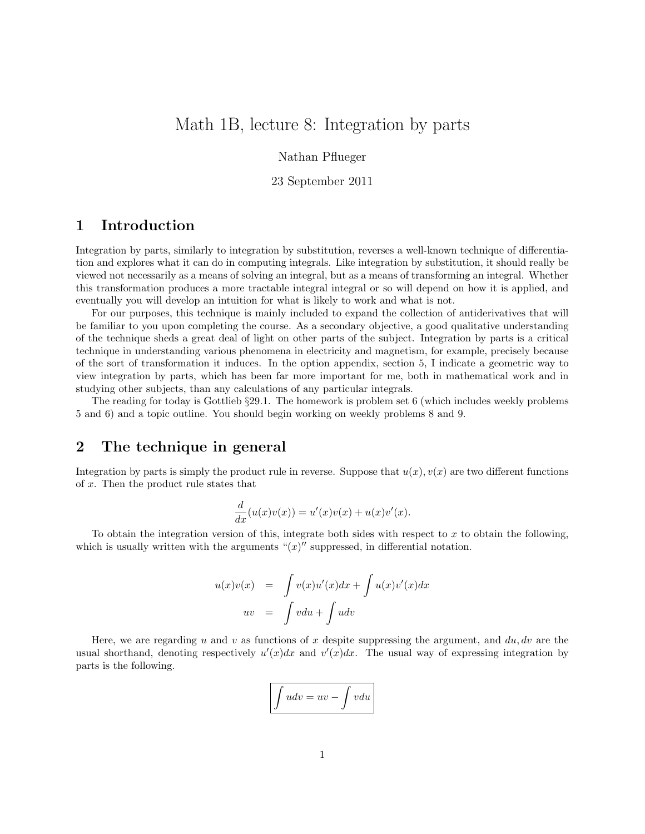# Math 1B, lecture 8: Integration by parts

Nathan Pflueger

23 September 2011

### 1 Introduction

Integration by parts, similarly to integration by substitution, reverses a well-known technique of differentiation and explores what it can do in computing integrals. Like integration by substitution, it should really be viewed not necessarily as a means of solving an integral, but as a means of transforming an integral. Whether this transformation produces a more tractable integral integral or so will depend on how it is applied, and eventually you will develop an intuition for what is likely to work and what is not.

For our purposes, this technique is mainly included to expand the collection of antiderivatives that will be familiar to you upon completing the course. As a secondary objective, a good qualitative understanding of the technique sheds a great deal of light on other parts of the subject. Integration by parts is a critical technique in understanding various phenomena in electricity and magnetism, for example, precisely because of the sort of transformation it induces. In the option appendix, section 5, I indicate a geometric way to view integration by parts, which has been far more important for me, both in mathematical work and in studying other subjects, than any calculations of any particular integrals.

The reading for today is Gottlieb §29.1. The homework is problem set 6 (which includes weekly problems 5 and 6) and a topic outline. You should begin working on weekly problems 8 and 9.

### 2 The technique in general

Integration by parts is simply the product rule in reverse. Suppose that  $u(x)$ ,  $v(x)$  are two different functions of x. Then the product rule states that

$$
\frac{d}{dx}(u(x)v(x)) = u'(x)v(x) + u(x)v'(x).
$$

To obtain the integration version of this, integrate both sides with respect to  $x$  to obtain the following, which is usually written with the arguments " $(x)$ " suppressed, in differential notation.

$$
u(x)v(x) = \int v(x)u'(x)dx + \int u(x)v'(x)dx
$$
  

$$
uv = \int vdu + \int udv
$$

Here, we are regarding u and v as functions of x despite suppressing the argument, and  $du, dv$  are the usual shorthand, denoting respectively  $u'(x)dx$  and  $v'(x)dx$ . The usual way of expressing integration by parts is the following.

$$
\int u dv = uv - \int v du
$$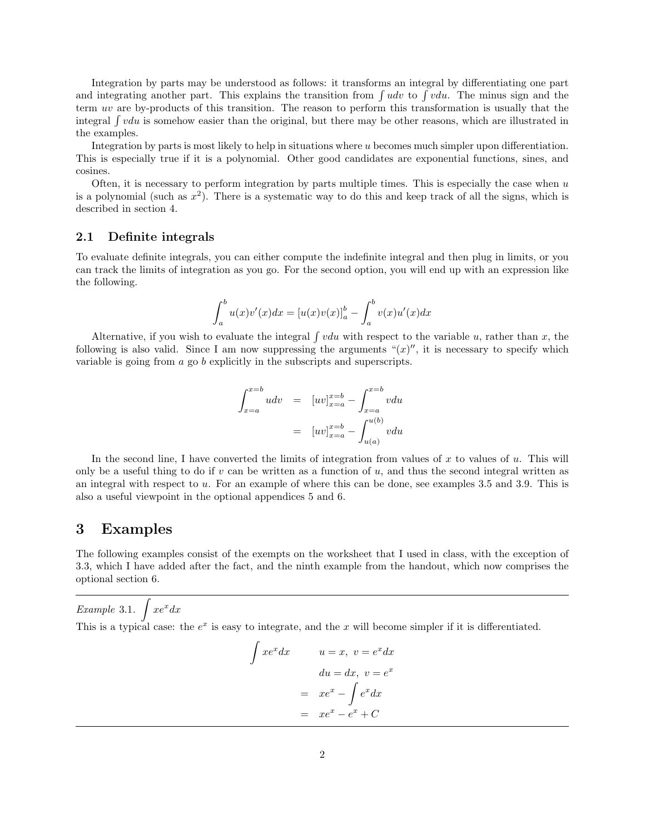Integration by parts may be understood as follows: it transforms an integral by differentiating one part and integrating another part. This explains the transition from  $\int u dv$  to  $\int v du$ . The minus sign and the term uv are by-products of this transition. The reason to perform this transformation is usually that the integral  $\int vdu$  is somehow easier than the original, but there may be other reasons, which are illustrated in the examples.

Integration by parts is most likely to help in situations where u becomes much simpler upon differentiation. This is especially true if it is a polynomial. Other good candidates are exponential functions, sines, and cosines.

Often, it is necessary to perform integration by parts multiple times. This is especially the case when  $u$ is a polynomial (such as  $x^2$ ). There is a systematic way to do this and keep track of all the signs, which is described in section 4.

#### 2.1 Definite integrals

To evaluate definite integrals, you can either compute the indefinite integral and then plug in limits, or you can track the limits of integration as you go. For the second option, you will end up with an expression like the following.

$$
\int_{a}^{b} u(x)v'(x)dx = [u(x)v(x)]_{a}^{b} - \int_{a}^{b} v(x)u'(x)dx
$$

Alternative, if you wish to evaluate the integral  $\int vdu$  with respect to the variable u, rather than x, the following is also valid. Since I am now suppressing the arguments " $(x)$ ", it is necessary to specify which variable is going from a go b explicitly in the subscripts and superscripts.

$$
\int_{x=a}^{x=b} u dv = [uv]_{x=a}^{x=b} - \int_{x=a}^{x=b} v du
$$

$$
= [uv]_{x=a}^{x=b} - \int_{u(a)}^{u(b)} v du
$$

In the second line, I have converted the limits of integration from values of x to values of  $u$ . This will only be a useful thing to do if v can be written as a function of u, and thus the second integral written as an integral with respect to u. For an example of where this can be done, see examples 3.5 and 3.9. This is also a useful viewpoint in the optional appendices 5 and 6.

#### 3 Examples

The following examples consist of the exempts on the worksheet that I used in class, with the exception of 3.3, which I have added after the fact, and the ninth example from the handout, which now comprises the optional section 6.

Example 3.1.  $\int xe^x dx$ 

This is a typical case: the  $e^x$  is easy to integrate, and the x will become simpler if it is differentiated.

$$
\int xe^x dx \qquad u = x, \ v = e^x dx
$$

$$
du = dx, \ v = e^x
$$

$$
= xe^x - \int e^x dx
$$

$$
= xe^x - e^x + C
$$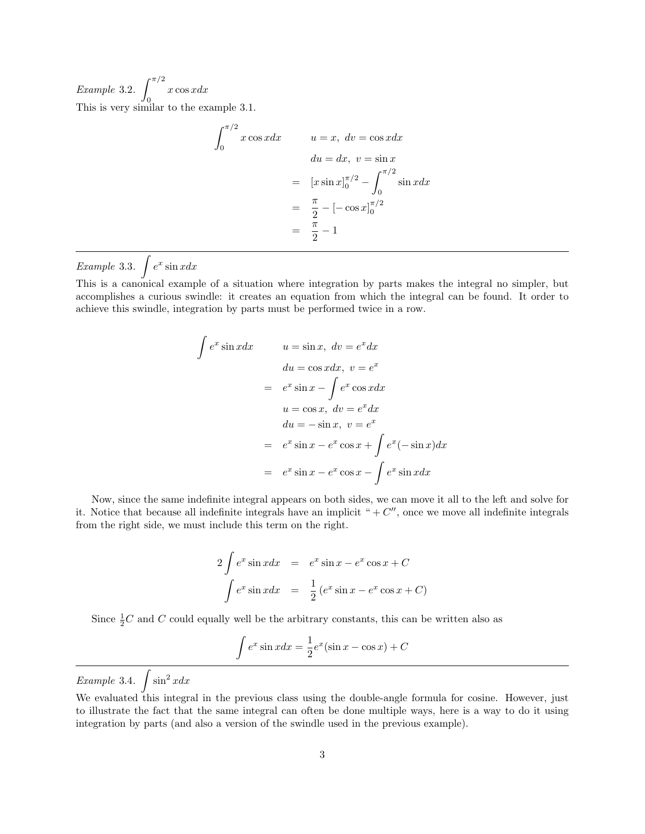Example 3.2.  $\int_{0}^{\pi/2}$ 0  $x \cos x dx$ This is very similar to the example 3.1.

$$
\int_0^{\pi/2} x \cos x dx \qquad u = x, \ dv = \cos x dx
$$

$$
du = dx, \ v = \sin x
$$

$$
= [x \sin x]_0^{\pi/2} - \int_0^{\pi/2} \sin x dx
$$

$$
= \frac{\pi}{2} - [-\cos x]_0^{\pi/2}
$$

$$
= \frac{\pi}{2} - 1
$$

Example 3.3.  $\int e^x \sin x dx$ 

This is a canonical example of a situation where integration by parts makes the integral no simpler, but accomplishes a curious swindle: it creates an equation from which the integral can be found. It order to achieve this swindle, integration by parts must be performed twice in a row.

$$
\int e^x \sin x dx \qquad u = \sin x, \ dv = e^x dx
$$
  
\n
$$
du = \cos x dx, \ v = e^x
$$
  
\n
$$
= e^x \sin x - \int e^x \cos x dx
$$
  
\n
$$
u = \cos x, \ dv = e^x dx
$$
  
\n
$$
du = -\sin x, \ v = e^x
$$
  
\n
$$
= e^x \sin x - e^x \cos x + \int e^x (-\sin x) dx
$$
  
\n
$$
= e^x \sin x - e^x \cos x - \int e^x \sin x dx
$$

Now, since the same indefinite integral appears on both sides, we can move it all to the left and solve for it. Notice that because all indefinite integrals have an implicit " $+ C''$ , once we move all indefinite integrals from the right side, we must include this term on the right.

$$
2 \int e^x \sin x dx = e^x \sin x - e^x \cos x + C
$$

$$
\int e^x \sin x dx = \frac{1}{2} (e^x \sin x - e^x \cos x + C)
$$

Since  $\frac{1}{2}C$  and C could equally well be the arbitrary constants, this can be written also as

$$
\int e^x \sin x dx = \frac{1}{2} e^x (\sin x - \cos x) + C
$$

Example 3.4.  $\int \sin^2 x dx$ 

We evaluated this integral in the previous class using the double-angle formula for cosine. However, just to illustrate the fact that the same integral can often be done multiple ways, here is a way to do it using integration by parts (and also a version of the swindle used in the previous example).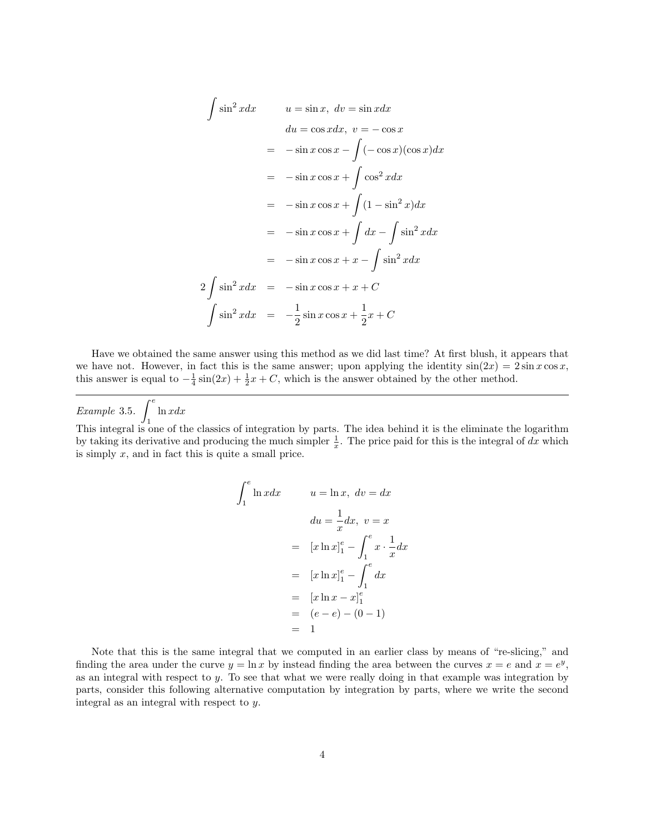$$
\int \sin^2 x dx \qquad u = \sin x, \ dv = \sin x dx
$$
  
\n
$$
du = \cos x dx, \ v = -\cos x
$$
  
\n
$$
= -\sin x \cos x - \int (-\cos x)(\cos x) dx
$$
  
\n
$$
= -\sin x \cos x + \int \cos^2 x dx
$$
  
\n
$$
= -\sin x \cos x + \int (1 - \sin^2 x) dx
$$
  
\n
$$
= -\sin x \cos x + \int dx - \int \sin^2 x dx
$$
  
\n
$$
= -\sin x \cos x + x - \int \sin^2 x dx
$$
  
\n
$$
2 \int \sin^2 x dx \qquad = -\sin x \cos x + x + C
$$
  
\n
$$
\int \sin^2 x dx \qquad = -\frac{1}{2} \sin x \cos x + \frac{1}{2} x + C
$$

Have we obtained the same answer using this method as we did last time? At first blush, it appears that we have not. However, in fact this is the same answer; upon applying the identity  $sin(2x) = 2 sin x cos x$ , this answer is equal to  $-\frac{1}{4}\sin(2x) + \frac{1}{2}x + C$ , which is the answer obtained by the other method.

Example 3.5.  $\int^e$ 1  $ln x dx$ This integral is one of the classics of integration by parts. The idea behind it is the eliminate the logarithm by taking its derivative and producing the much simpler  $\frac{1}{x}$ . The price paid for this is the integral of dx which is simply  $x$ , and in fact this is quite a small price.

$$
\int_{1}^{e} \ln x dx \qquad u = \ln x, \ dv = dx
$$

$$
du = \frac{1}{x} dx, \ v = x
$$

$$
= [x \ln x]_{1}^{e} - \int_{1}^{e} x \cdot \frac{1}{x} dx
$$

$$
= [x \ln x]_{1}^{e} - \int_{1}^{e} dx
$$

$$
= [x \ln x - x]_{1}^{e}
$$

$$
= (e - e) - (0 - 1)
$$

$$
= 1
$$

Note that this is the same integral that we computed in an earlier class by means of "re-slicing," and finding the area under the curve  $y = \ln x$  by instead finding the area between the curves  $x = e$  and  $x = e^y$ , as an integral with respect to  $y$ . To see that what we were really doing in that example was integration by parts, consider this following alternative computation by integration by parts, where we write the second integral as an integral with respect to y.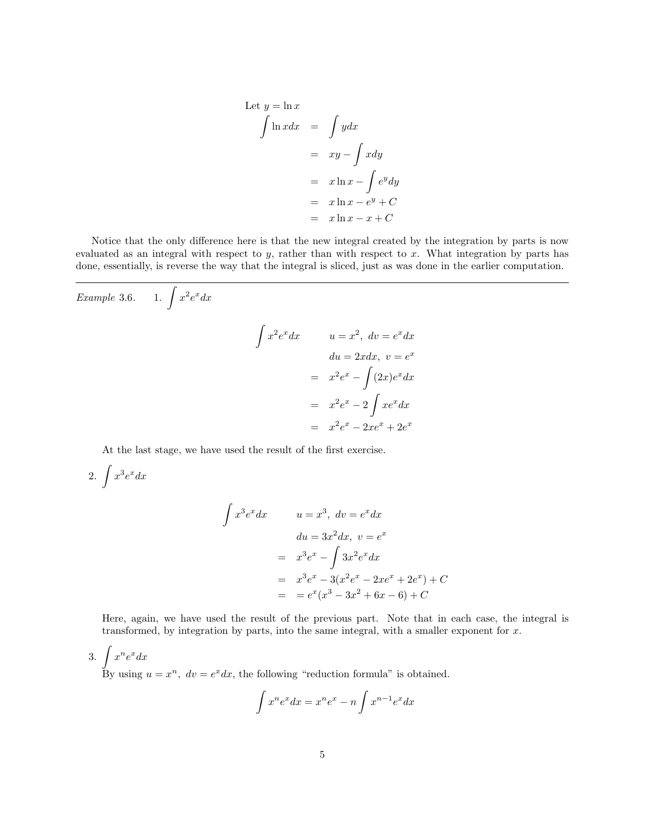Let 
$$
y = \ln x
$$
  
\n
$$
\int \ln x dx = \int y dx
$$
\n
$$
= xy - \int x dy
$$
\n
$$
= x \ln x - \int e^y dy
$$
\n
$$
= x \ln x - e^y + C
$$
\n
$$
= x \ln x - x + C
$$

Notice that the only difference here is that the new integral created by the integration by parts is now evaluated as an integral with respect to y, rather than with respect to x. What integration by parts has done, essentially, is reverse the way that the integral is sliced, just as was done in the earlier computation.

Example 3.6. 1. 
$$
\int x^2 e^x dx
$$

$$
\int x^2 e^x dx
$$

$$
u = x^2, dv = e^x dx
$$

$$
du = 2x dx, v = e^x
$$

$$
= x^2 e^x - \int (2x) e^x dx
$$

$$
= x^2 e^x - 2 \int x e^x dx
$$

$$
= x^2 e^x - 2x e^x + 2e^x
$$

At the last stage, we have used the result of the first exercise.

2. 
$$
\int x^3 e^x dx
$$

$$
\int x^3 e^x dx \qquad u = x^3, \ dv = e^x dx
$$
  
\n
$$
du = 3x^2 dx, \ v = e^x
$$
  
\n
$$
= x^3 e^x - \int 3x^2 e^x dx
$$
  
\n
$$
= x^3 e^x - 3(x^2 e^x - 2xe^x + 2e^x) + C
$$
  
\n
$$
= e^x (x^3 - 3x^2 + 6x - 6) + C
$$

Here, again, we have used the result of the previous part. Note that in each case, the integral is transformed, by integration by parts, into the same integral, with a smaller exponent for  $x$ .

3.  $\int x^n e^x dx$ By using  $u = x^n$ ,  $dv = e^x dx$ , the following "reduction formula" is obtained.

$$
\int x^n e^x dx = x^n e^x - n \int x^{n-1} e^x dx
$$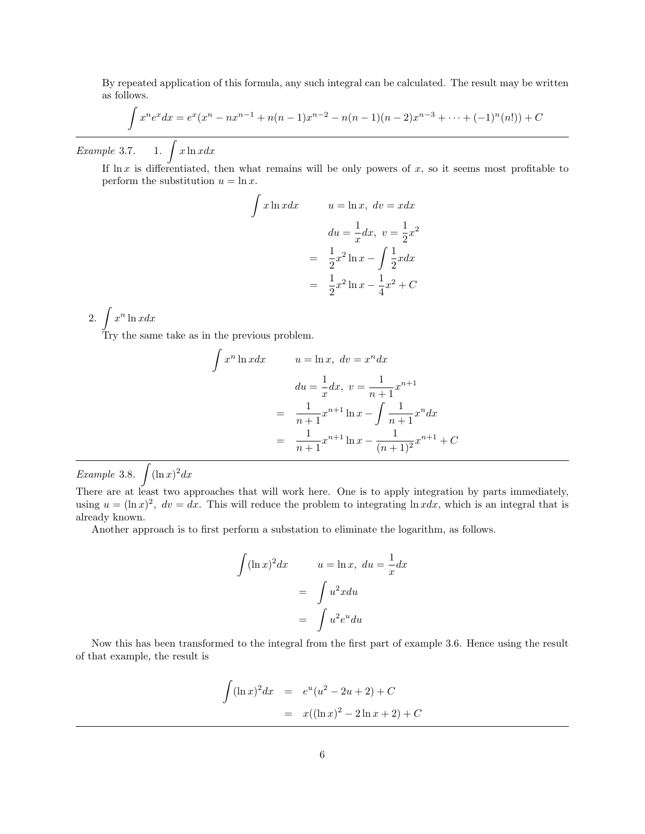By repeated application of this formula, any such integral can be calculated. The result may be written as follows.

$$
\int x^n e^x dx = e^x (x^n - nx^{n-1} + n(n-1)x^{n-2} - n(n-1)(n-2)x^{n-3} + \dots + (-1)^n (n!) + C
$$

 $Example~3.7.$ 1.  $\int x \ln x dx$ 

If  $\ln x$  is differentiated, then what remains will be only powers of x, so it seems most profitable to perform the substitution  $u = \ln x$ .

$$
\int x \ln x dx \qquad u = \ln x, \ dv = x dx
$$

$$
du = \frac{1}{x} dx, \ v = \frac{1}{2}x^2
$$

$$
= \frac{1}{2}x^2 \ln x - \int \frac{1}{2}x dx
$$

$$
= \frac{1}{2}x^2 \ln x - \frac{1}{4}x^2 + C
$$

2.  $\int x^n \ln x dx$ 

Try the same take as in the previous problem.

$$
\int x^n \ln x dx \qquad u = \ln x, \ dv = x^n dx
$$

$$
du = \frac{1}{x} dx, \ v = \frac{1}{n+1} x^{n+1}
$$

$$
= \frac{1}{n+1} x^{n+1} \ln x - \int \frac{1}{n+1} x^n dx
$$

$$
= \frac{1}{n+1} x^{n+1} \ln x - \frac{1}{(n+1)^2} x^{n+1} + C
$$

Example 3.8.  $\int (\ln x)^2 dx$ 

There are at least two approaches that will work here. One is to apply integration by parts immediately, using  $u = (\ln x)^2$ ,  $dv = dx$ . This will reduce the problem to integrating  $\ln x dx$ , which is an integral that is already known.

Another approach is to first perform a substation to eliminate the logarithm, as follows.

$$
\int (\ln x)^2 dx \qquad u = \ln x, \ du = \frac{1}{x} dx
$$

$$
= \int u^2 x du
$$

$$
= \int u^2 e^u du
$$

Now this has been transformed to the integral from the first part of example 3.6. Hence using the result of that example, the result is

$$
\int (\ln x)^2 dx = e^u(u^2 - 2u + 2) + C
$$
  
=  $x((\ln x)^2 - 2\ln x + 2) + C$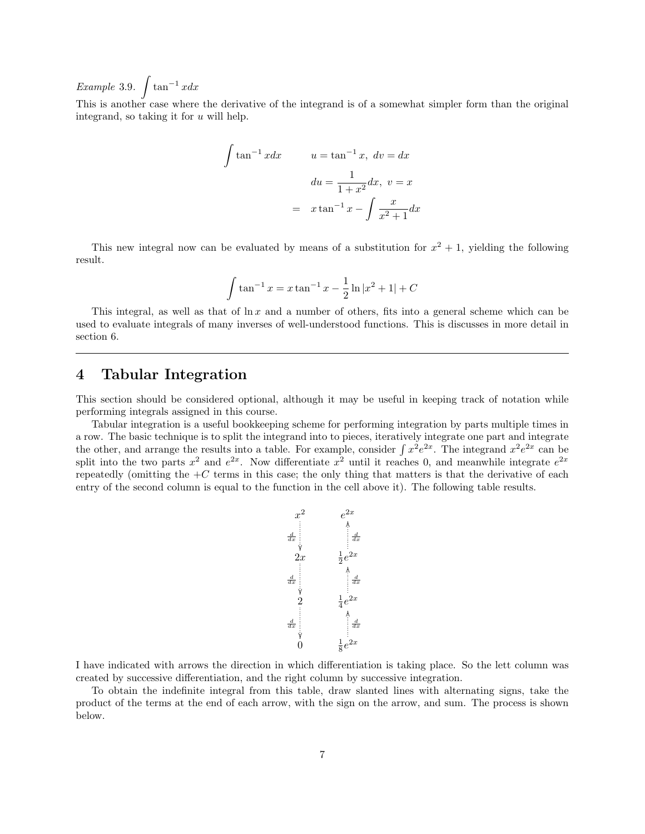Example 3.9.  $\int \tan^{-1} x dx$ 

This is another case where the derivative of the integrand is of a somewhat simpler form than the original integrand, so taking it for  $u$  will help.

$$
\int \tan^{-1} x dx \qquad u = \tan^{-1} x, \ dv = dx
$$

$$
du = \frac{1}{1+x^2} dx, \ v = x
$$

$$
= x \tan^{-1} x - \int \frac{x}{x^2 + 1} dx
$$

This new integral now can be evaluated by means of a substitution for  $x^2 + 1$ , yielding the following result.

$$
\int \tan^{-1} x = x \tan^{-1} x - \frac{1}{2} \ln |x^2 + 1| + C
$$

This integral, as well as that of  $\ln x$  and a number of others, fits into a general scheme which can be used to evaluate integrals of many inverses of well-understood functions. This is discusses in more detail in section 6.

#### 4 Tabular Integration

This section should be considered optional, although it may be useful in keeping track of notation while performing integrals assigned in this course.

Tabular integration is a useful bookkeeping scheme for performing integration by parts multiple times in a row. The basic technique is to split the integrand into to pieces, iteratively integrate one part and integrate the other, and arrange the results into a table. For example, consider  $\int x^2 e^{2x}$ . The integrand  $x^2 e^{2x}$  can be split into the two parts  $x^2$  and  $e^{2x}$ . Now differentiate  $x^2$  until it reaches 0, and meanwhile integrate  $e^{2x}$ repeatedly (omitting the  $+C$  terms in this case; the only thing that matters is that the derivative of each entry of the second column is equal to the function in the cell above it). The following table results.



I have indicated with arrows the direction in which differentiation is taking place. So the lett column was created by successive differentiation, and the right column by successive integration.

To obtain the indefinite integral from this table, draw slanted lines with alternating signs, take the product of the terms at the end of each arrow, with the sign on the arrow, and sum. The process is shown below.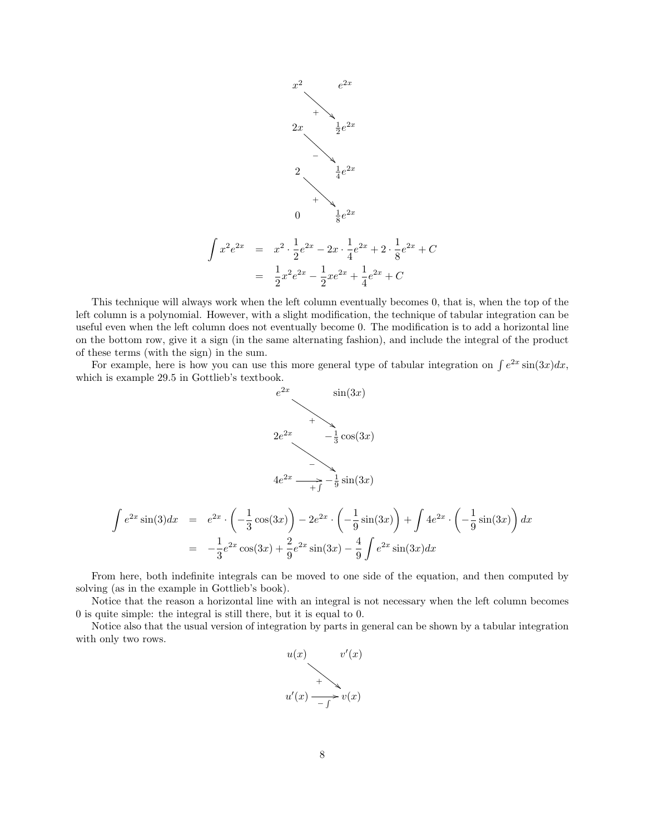

This technique will always work when the left column eventually becomes 0, that is, when the top of the left column is a polynomial. However, with a slight modification, the technique of tabular integration can be useful even when the left column does not eventually become 0. The modification is to add a horizontal line on the bottom row, give it a sign (in the same alternating fashion), and include the integral of the product of these terms (with the sign) in the sum.

For example, here is how you can use this more general type of tabular integration on  $\int e^{2x} \sin(3x) dx$ , which is example 29.5 in Gottlieb's textbook.



$$
\int e^{2x} \sin(3) dx = e^{2x} \cdot \left( -\frac{1}{3} \cos(3x) \right) - 2e^{2x} \cdot \left( -\frac{1}{9} \sin(3x) \right) + \int 4e^{2x} \cdot \left( -\frac{1}{9} \sin(3x) \right) dx
$$

$$
= -\frac{1}{3} e^{2x} \cos(3x) + \frac{2}{9} e^{2x} \sin(3x) - \frac{4}{9} \int e^{2x} \sin(3x) dx
$$

From here, both indefinite integrals can be moved to one side of the equation, and then computed by solving (as in the example in Gottlieb's book).

Notice that the reason a horizontal line with an integral is not necessary when the left column becomes 0 is quite simple: the integral is still there, but it is equal to 0.

Notice also that the usual version of integration by parts in general can be shown by a tabular integration with only two rows.

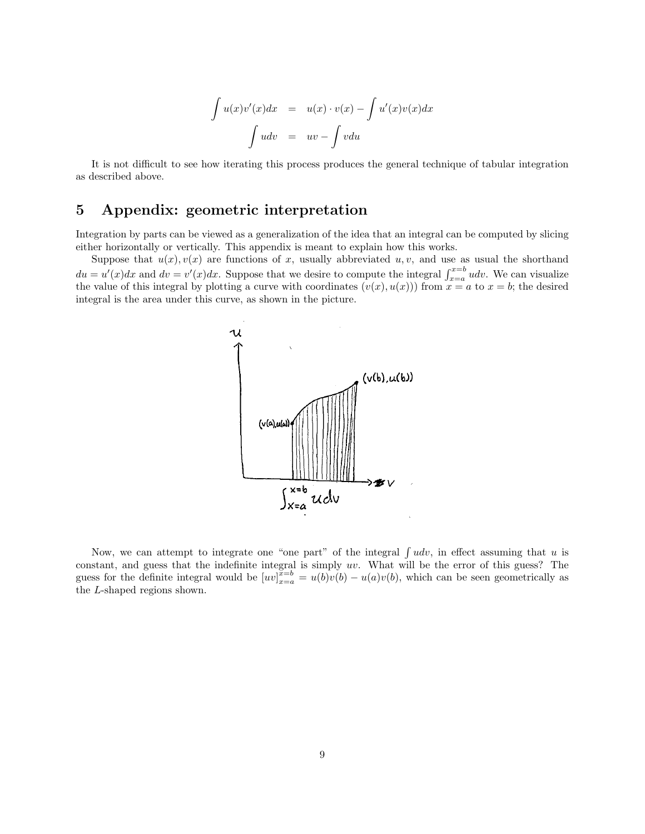$$
\int u(x)v'(x)dx = u(x) \cdot v(x) - \int u'(x)v(x)dx
$$

$$
\int u dv = uv - \int v du
$$

It is not difficult to see how iterating this process produces the general technique of tabular integration as described above.

## 5 Appendix: geometric interpretation

Integration by parts can be viewed as a generalization of the idea that an integral can be computed by slicing either horizontally or vertically. This appendix is meant to explain how this works.

Suppose that  $u(x), v(x)$  are functions of x, usually abbreviated u, v, and use as usual the shorthand  $du = u'(x)dx$  and  $dv = v'(x)dx$ . Suppose that we desire to compute the integral  $\int_{x=a}^{x=b} udv$ . We can visualize the value of this integral by plotting a curve with coordinates  $(v(x), u(x))$  from  $x = a$  to  $x = b$ ; the desired integral is the area under this curve, as shown in the picture.



Now, we can attempt to integrate one "one part" of the integral  $\int u dv$ , in effect assuming that u is constant, and guess that the indefinite integral is simply uv. What will be the error of this guess? The guess for the definite integral would be  $[uv]_{x=a}^{\overline{x=b}} = u(b)v(b) - u(a)v(b)$ , which can be seen geometrically as the L-shaped regions shown.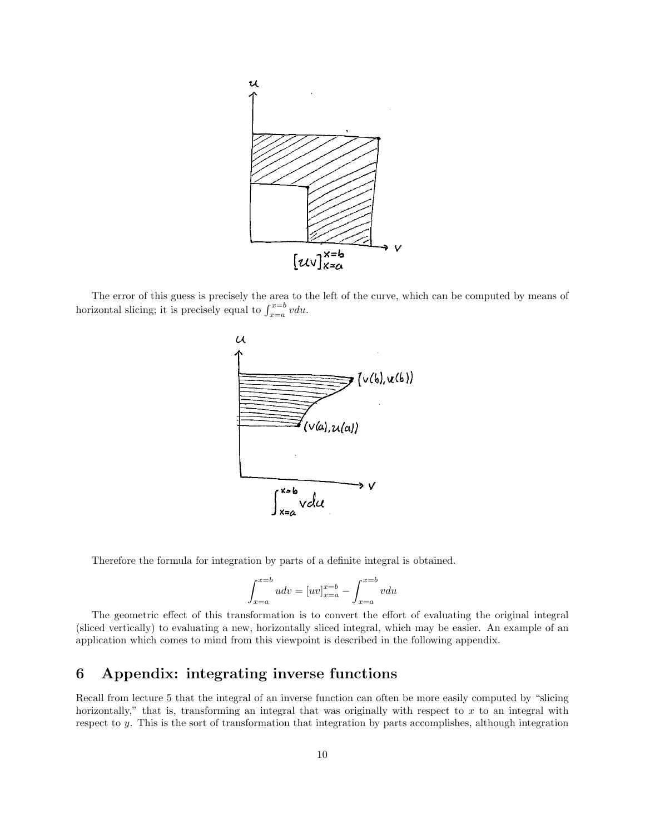

The error of this guess is precisely the area to the left of the curve, which can be computed by means of horizontal slicing; it is precisely equal to  $\int_{x=a}^{x=b} v du$ .



Therefore the formula for integration by parts of a definite integral is obtained.

$$
\int_{x=a}^{x=b} u dv = [uv]_{x=a}^{x=b} - \int_{x=a}^{x=b} v du
$$

The geometric effect of this transformation is to convert the effort of evaluating the original integral (sliced vertically) to evaluating a new, horizontally sliced integral, which may be easier. An example of an application which comes to mind from this viewpoint is described in the following appendix.

## 6 Appendix: integrating inverse functions

Recall from lecture 5 that the integral of an inverse function can often be more easily computed by "slicing horizontally," that is, transforming an integral that was originally with respect to  $x$  to an integral with respect to y. This is the sort of transformation that integration by parts accomplishes, although integration